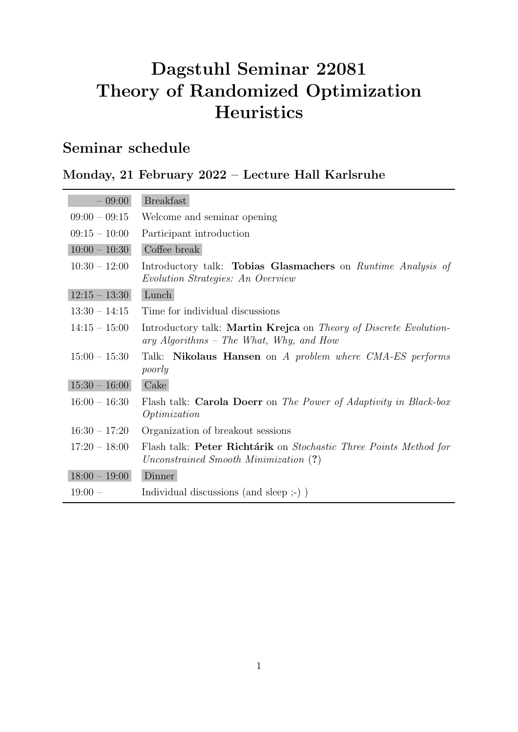# Dagstuhl Seminar 22081 Theory of Randomized Optimization **Heuristics**

## Seminar schedule

|  |  |  |  |  |  | Monday, 21 February 2022 – Lecture Hall Karlsruhe |
|--|--|--|--|--|--|---------------------------------------------------|
|--|--|--|--|--|--|---------------------------------------------------|

| 09:00           | <b>Breakfast</b>                                                                                                |  |
|-----------------|-----------------------------------------------------------------------------------------------------------------|--|
| $09:00 - 09:15$ | Welcome and seminar opening                                                                                     |  |
| $09:15 - 10:00$ | Participant introduction                                                                                        |  |
| $10:00 - 10:30$ | Coffee break                                                                                                    |  |
| $10:30 - 12:00$ | Introductory talk: Tobias Glasmachers on <i>Runtime Analysis of</i><br><i>Evolution Strategies: An Overview</i> |  |
| $12:15 - 13:30$ | Lunch                                                                                                           |  |
| $13:30 - 14:15$ | Time for individual discussions                                                                                 |  |
| $14:15 - 15:00$ | Introductory talk: Martin Krejca on Theory of Discrete Evolution-<br>ary Algorithms - The What, Why, and How    |  |
| $15:00 - 15:30$ | Talk: Nikolaus Hansen on A problem where CMA-ES performs<br>poorly                                              |  |
| $15:30 - 16:00$ | Cake                                                                                                            |  |
| $16:00 - 16:30$ | Flash talk: Carola Doerr on The Power of Adaptivity in Black-box<br>Optimization                                |  |
| $16:30 - 17:20$ | Organization of breakout sessions                                                                               |  |
| $17:20 - 18:00$ | Flash talk: Peter Richtárik on Stochastic Three Points Method for<br>Unconstrained Smooth Minimization $(?)$    |  |
| $18:00 - 19:00$ | Dinner                                                                                                          |  |
| $19:00 -$       | Individual discussions (and sleep $;$ ) $)$                                                                     |  |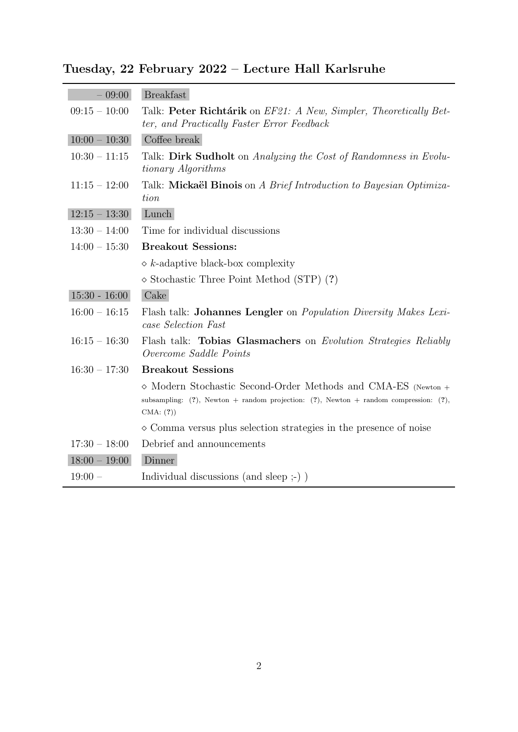| $-09:00$        | <b>Breakfast</b>                                                                                                                                                                    |
|-----------------|-------------------------------------------------------------------------------------------------------------------------------------------------------------------------------------|
| $09:15 - 10:00$ | Talk: Peter Richtárik on EF21: A New, Simpler, Theoretically Bet-<br>ter, and Practically Faster Error Feedback                                                                     |
| $10:00 - 10:30$ | Coffee break                                                                                                                                                                        |
| $10:30 - 11:15$ | Talk: Dirk Sudholt on Analyzing the Cost of Randomness in Evolu-<br><i>tionary Algorithms</i>                                                                                       |
| $11:15 - 12:00$ | Talk: Mickaël Binois on A Brief Introduction to Bayesian Optimiza-<br>tion                                                                                                          |
| $12:15 - 13:30$ | Lunch                                                                                                                                                                               |
| $13:30 - 14:00$ | Time for individual discussions                                                                                                                                                     |
| $14:00 - 15:30$ | <b>Breakout Sessions:</b>                                                                                                                                                           |
|                 | $\diamond$ k-adaptive black-box complexity                                                                                                                                          |
|                 | $\diamond$ Stochastic Three Point Method (STP) (?)                                                                                                                                  |
| $15:30 - 16:00$ | Cake                                                                                                                                                                                |
| $16:00 - 16:15$ | Flash talk: <b>Johannes Lengler</b> on <i>Population Diversity Makes Lexi-</i><br>case Selection Fast                                                                               |
| $16:15 - 16:30$ | Flash talk: Tobias Glasmachers on Evolution Strategies Reliably<br>Overcome Saddle Points                                                                                           |
| $16:30 - 17:30$ | <b>Breakout Sessions</b>                                                                                                                                                            |
|                 | $\diamond$ Modern Stochastic Second-Order Methods and CMA-ES (Newton +<br>subsampling: $(?)$ , Newton + random projection: $(?)$ , Newton + random compression: $(?)$ ,<br>CMA: (?) |
|                 | $\diamond$ Comma versus plus selection strategies in the presence of noise                                                                                                          |
| $17:30 - 18:00$ | Debrief and announcements                                                                                                                                                           |
| $18:00 - 19:00$ | Dinner                                                                                                                                                                              |
| $19:00 -$       | Individual discussions (and sleep $;$ -))                                                                                                                                           |

### Tuesday, 22 February 2022 – Lecture Hall Karlsruhe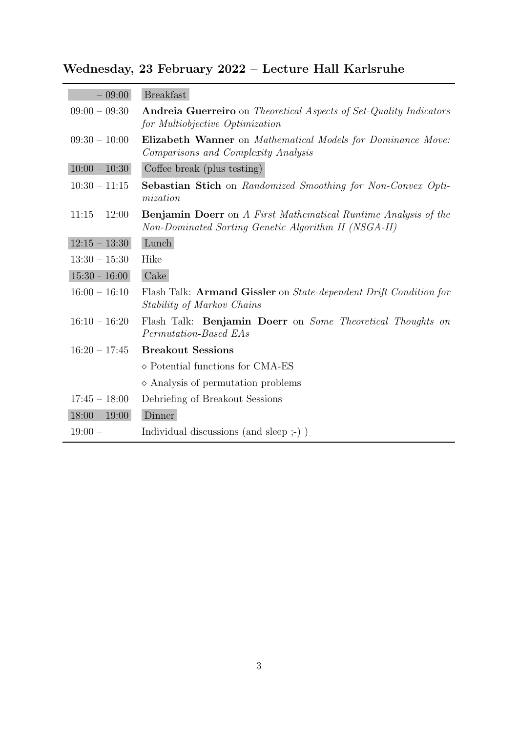| 09:00           | <b>Breakfast</b>                                                                                                              |
|-----------------|-------------------------------------------------------------------------------------------------------------------------------|
| $09:00 - 09:30$ | <b>Andreia Guerreiro</b> on <i>Theoretical Aspects of Set-Quality Indicators</i><br>for Multiobjective Optimization           |
| $09:30 - 10:00$ | <b>Elizabeth Wanner</b> on Mathematical Models for Dominance Move:<br>Comparisons and Complexity Analysis                     |
| $10:00 - 10:30$ | Coffee break (plus testing)                                                                                                   |
| $10:30 - 11:15$ | <b>Sebastian Stich</b> on Randomized Smoothing for Non-Convex Opti-<br>mization                                               |
| $11:15 - 12:00$ | <b>Benjamin Doerr</b> on A First Mathematical Runtime Analysis of the<br>Non-Dominated Sorting Genetic Algorithm II (NSGA-II) |
| $12:15 - 13:30$ | Lunch                                                                                                                         |
| $13:30 - 15:30$ | Hike                                                                                                                          |
| $15:30 - 16:00$ | Cake                                                                                                                          |
| $16:00 - 16:10$ | Flash Talk: Armand Gissler on State-dependent Drift Condition for<br>Stability of Markov Chains                               |
| $16:10 - 16:20$ | Flash Talk: Benjamin Doerr on Some Theoretical Thoughts on<br>Permutation-Based EAs                                           |
| $16:20 - 17:45$ | <b>Breakout Sessions</b>                                                                                                      |
|                 | $\diamond$ Potential functions for CMA-ES                                                                                     |
|                 | $\diamond$ Analysis of permutation problems                                                                                   |
| $17:45 - 18:00$ | Debriefing of Breakout Sessions                                                                                               |
| $18:00 - 19:00$ | Dinner                                                                                                                        |
| $19:00 -$       | Individual discussions (and sleep $;$ -))                                                                                     |

#### Wednesday, 23 February 2022 – Lecture Hall Karlsruhe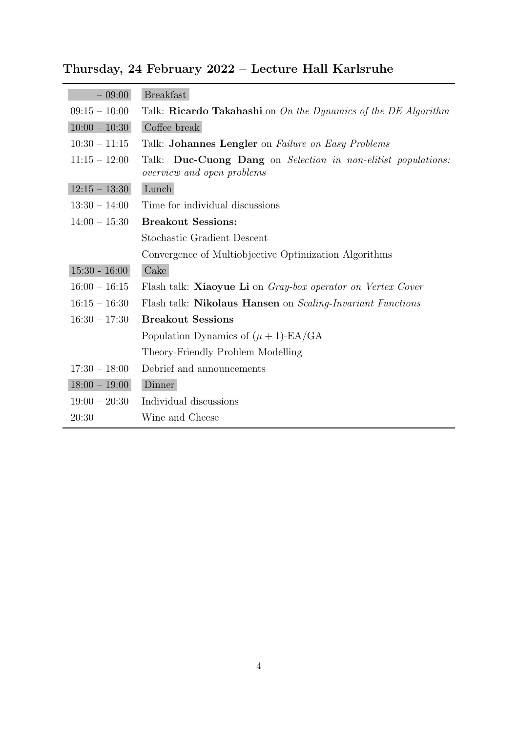| $-09:00$        | <b>Breakfast</b>                                                                                          |
|-----------------|-----------------------------------------------------------------------------------------------------------|
| $09:15 - 10:00$ | Talk: Ricardo Takahashi on On the Dynamics of the DE Algorithm                                            |
| $10:00 - 10:30$ | Coffee break                                                                                              |
| $10:30 - 11:15$ | Talk: Johannes Lengler on Failure on Easy Problems                                                        |
| $11:15 - 12:00$ | Talk: Duc-Cuong Dang on Selection in non-elitist populations:<br><i>overview</i> and <i>open</i> problems |
| $12:15 - 13:30$ | Lunch                                                                                                     |
| $13:30 - 14:00$ | Time for individual discussions                                                                           |
| $14:00 - 15:30$ | <b>Breakout Sessions:</b>                                                                                 |
|                 | Stochastic Gradient Descent                                                                               |
|                 | Convergence of Multiobjective Optimization Algorithms                                                     |
| $15:30 - 16:00$ | Cake                                                                                                      |
| $16:00 - 16:15$ | Flash talk: Xiaoyue Li on <i>Gray-box operator on Vertex Cover</i>                                        |
| $16:15 - 16:30$ | Flash talk: Nikolaus Hansen on Scaling-Invariant Functions                                                |
| $16:30 - 17:30$ | <b>Breakout Sessions</b>                                                                                  |
|                 | Population Dynamics of $(\mu + 1)$ -EA/GA                                                                 |
|                 | Theory-Friendly Problem Modelling                                                                         |
| $17:30 - 18:00$ | Debrief and announcements                                                                                 |
| $18:00 - 19:00$ | Dinner                                                                                                    |
| $19:00 - 20:30$ | Individual discussions                                                                                    |
| $20:30 -$       | Wine and Cheese                                                                                           |

## Thursday, 24 February 2022 – Lecture Hall Karlsruhe